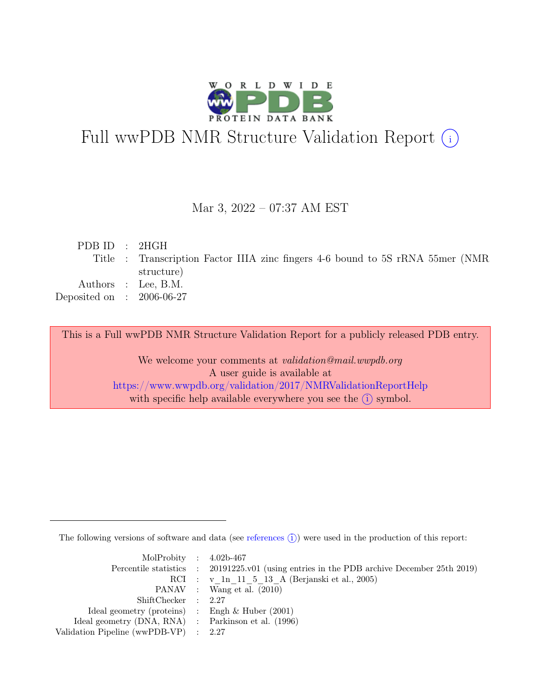

# Full wwPDB NMR Structure Validation Report (i)

### Mar 3, 2022 – 07:37 AM EST

| PDBID : 2HGH                |                                                                                 |
|-----------------------------|---------------------------------------------------------------------------------|
|                             | Title : Transcription Factor IIIA zinc fingers 4-6 bound to 5S rRNA 55mer (NMR) |
|                             | structure)                                                                      |
|                             | Authors : Lee, B.M.                                                             |
| Deposited on : $2006-06-27$ |                                                                                 |
|                             |                                                                                 |

This is a Full wwPDB NMR Structure Validation Report for a publicly released PDB entry.

We welcome your comments at *validation@mail.wwpdb.org* A user guide is available at <https://www.wwpdb.org/validation/2017/NMRValidationReportHelp> with specific help available everywhere you see the  $(i)$  symbol.

The following versions of software and data (see [references](https://www.wwpdb.org/validation/2017/NMRValidationReportHelp#references)  $\hat{I}$ ) were used in the production of this report:

| MolProbity : $4.02b-467$                            |                                                                                            |
|-----------------------------------------------------|--------------------------------------------------------------------------------------------|
|                                                     | Percentile statistics : 20191225.v01 (using entries in the PDB archive December 25th 2019) |
|                                                     | RCI : v 1n 11 5 13 A (Berjanski et al., 2005)                                              |
|                                                     | PANAV : Wang et al. (2010)                                                                 |
| ShiftChecker : 2.27                                 |                                                                                            |
| Ideal geometry (proteins) : Engh $\&$ Huber (2001)  |                                                                                            |
| Ideal geometry (DNA, RNA) : Parkinson et al. (1996) |                                                                                            |
| Validation Pipeline (wwPDB-VP) : $2.27$             |                                                                                            |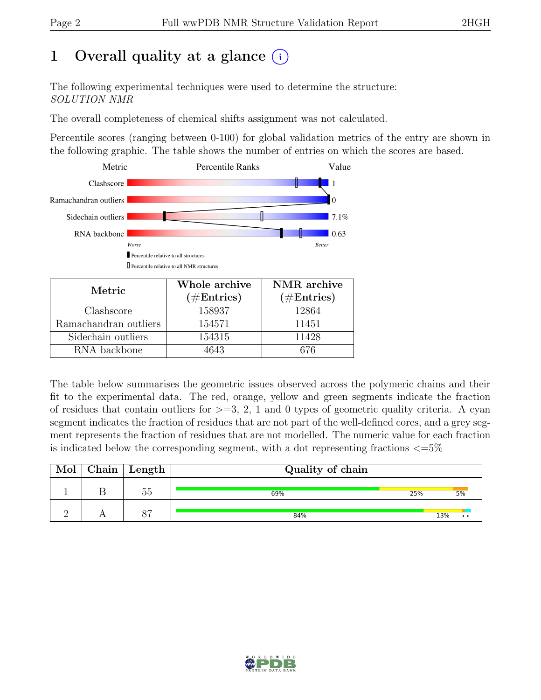# 1 Overall quality at a glance  $(i)$

The following experimental techniques were used to determine the structure: SOLUTION NMR

The overall completeness of chemical shifts assignment was not calculated.

Percentile scores (ranging between 0-100) for global validation metrics of the entry are shown in the following graphic. The table shows the number of entries on which the scores are based.



| Metric.               | Whole archive<br>$(\#Entries)$ | NMR archive<br>$(\#Entries)$ |
|-----------------------|--------------------------------|------------------------------|
| Clashscore            | 158937                         | 12864                        |
| Ramachandran outliers | 154571                         | 11451                        |
| Sidechain outliers    | 154315                         | 11428                        |
| RNA backbone          | 4643                           | 676                          |

The table below summarises the geometric issues observed across the polymeric chains and their fit to the experimental data. The red, orange, yellow and green segments indicate the fraction of residues that contain outliers for  $>=3, 2, 1$  and 0 types of geometric quality criteria. A cyan segment indicates the fraction of residues that are not part of the well-defined cores, and a grey segment represents the fraction of residues that are not modelled. The numeric value for each fraction is indicated below the corresponding segment, with a dot representing fractions  $\epsilon = 5\%$ 

| Mol | $Chain$ Length | Quality of chain |     |                  |
|-----|----------------|------------------|-----|------------------|
|     | 55             | 25%<br>69%       |     | 5%               |
|     | $\circ$        | 84%              | 13% | $\bullet\bullet$ |

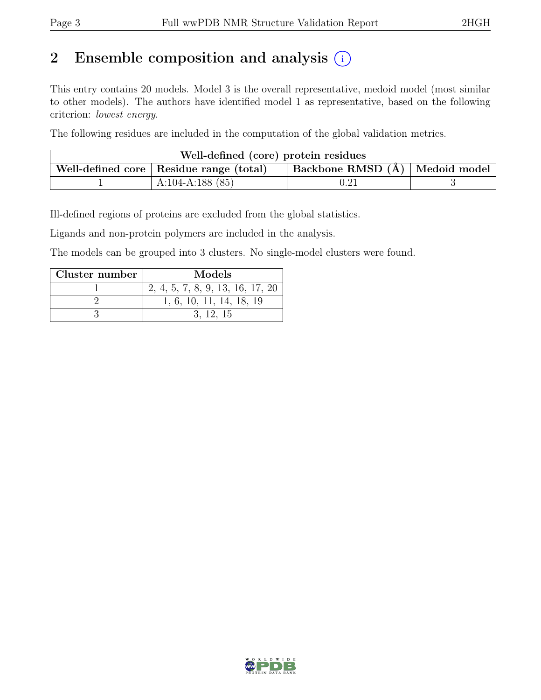# 2 Ensemble composition and analysis  $(i)$

This entry contains 20 models. Model 3 is the overall representative, medoid model (most similar to other models). The authors have identified model 1 as representative, based on the following criterion: lowest energy.

The following residues are included in the computation of the global validation metrics.

| Well-defined (core) protein residues |                                           |                                        |  |  |  |
|--------------------------------------|-------------------------------------------|----------------------------------------|--|--|--|
|                                      | Well-defined core   Residue range (total) | $ $ Backbone RMSD $(A)$   Medoid model |  |  |  |
|                                      | A:104-A:188 $(85)$                        | $0.21\,$                               |  |  |  |

Ill-defined regions of proteins are excluded from the global statistics.

Ligands and non-protein polymers are included in the analysis.

The models can be grouped into 3 clusters. No single-model clusters were found.

| Cluster number | Models                           |
|----------------|----------------------------------|
|                | 2, 4, 5, 7, 8, 9, 13, 16, 17, 20 |
|                | 1, 6, 10, 11, 14, 18, 19         |
|                | 3. 12. 15                        |

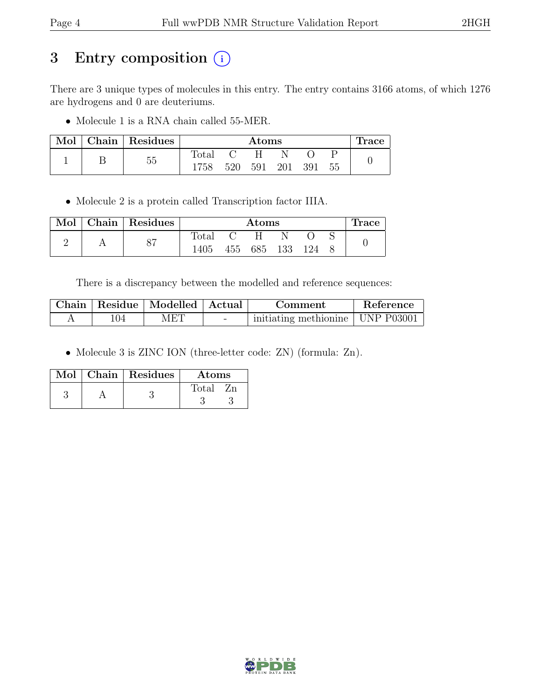# 3 Entry composition (i)

There are 3 unique types of molecules in this entry. The entry contains 3166 atoms, of which 1276 are hydrogens and 0 are deuteriums.

• Molecule 1 is a RNA chain called 55-MER.

| Mol | Chain Residues |       | $\rm{Atoms}$ |     |     | <b>Trace</b> |    |  |
|-----|----------------|-------|--------------|-----|-----|--------------|----|--|
|     |                | Total |              | Н   |     |              |    |  |
|     | 55             | 1758  | 520          | 591 | 201 | 391          | 55 |  |

• Molecule 2 is a protein called Transcription factor IIIA.

| Mol | Chain   Residues |                | $\rm{Atoms}$ |     |     |     | Trace |  |
|-----|------------------|----------------|--------------|-----|-----|-----|-------|--|
|     | $\circ$          | $_{\rm Total}$ |              |     |     |     |       |  |
|     | Ο.               | 1405           | 455          | 685 | 133 | 124 |       |  |

There is a discrepancy between the modelled and reference sequences:

|     | Chain   Residue   Modelled   Actual |        | Comment                            | Reference |
|-----|-------------------------------------|--------|------------------------------------|-----------|
| 104 | MET                                 | $\sim$ | initiating methionine   UNP P03001 |           |

• Molecule 3 is ZINC ION (three-letter code: ZN) (formula: Zn).

|  | Mol   Chain   Residues | <b>Atoms</b> |
|--|------------------------|--------------|
|  |                        | Total<br>7m  |
|  |                        |              |

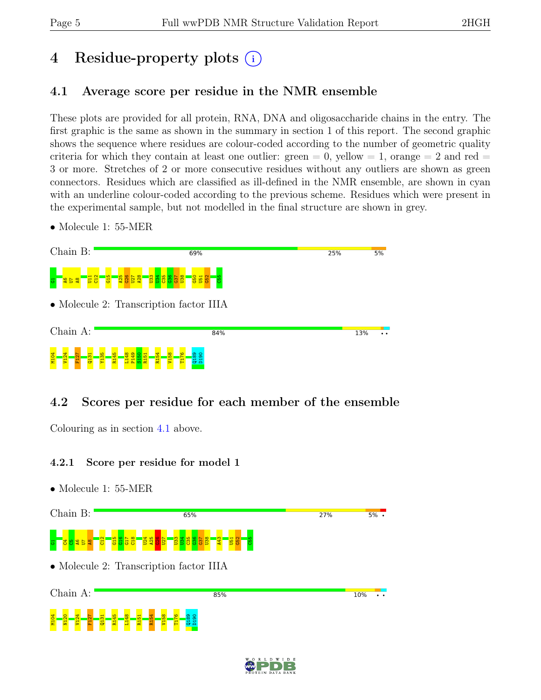# 4 Residue-property plots (i)

## <span id="page-4-0"></span>4.1 Average score per residue in the NMR ensemble

These plots are provided for all protein, RNA, DNA and oligosaccharide chains in the entry. The first graphic is the same as shown in the summary in section 1 of this report. The second graphic shows the sequence where residues are colour-coded according to the number of geometric quality criteria for which they contain at least one outlier:  $green = 0$ ,  $yellow = 1$ ,  $orange = 2$  and  $red =$ 3 or more. Stretches of 2 or more consecutive residues without any outliers are shown as green connectors. Residues which are classified as ill-defined in the NMR ensemble, are shown in cyan with an underline colour-coded according to the previous scheme. Residues which were present in the experimental sample, but not modelled in the final structure are shown in grey.

• Molecule 1: 55-MER



## 4.2 Scores per residue for each member of the ensemble

Colouring as in section [4.1](#page-4-0) above.

### 4.2.1 Score per residue for model 1



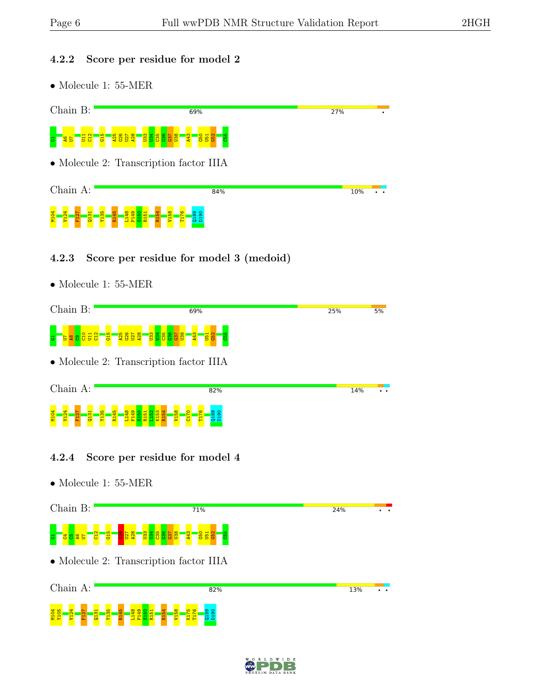M104<br>M105 <mark>V12</mark><br>M105 V127

Q131 Y135 R145 L148 P149  $\frac{150}{2}$ R151 R154 V158 K175 T176  $\frac{8}{18}$ D190

#### 4.2.2 Score per residue for model 2

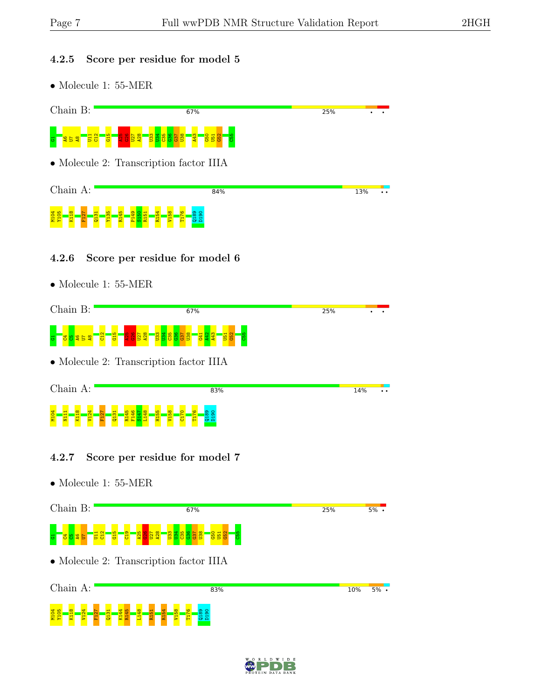#### 4.2.5 Score per residue for model 5



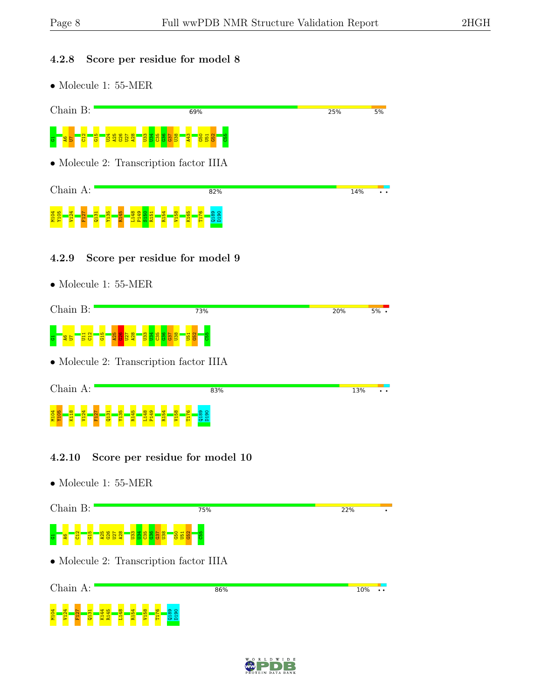#### 4.2.8 Score per residue for model 8

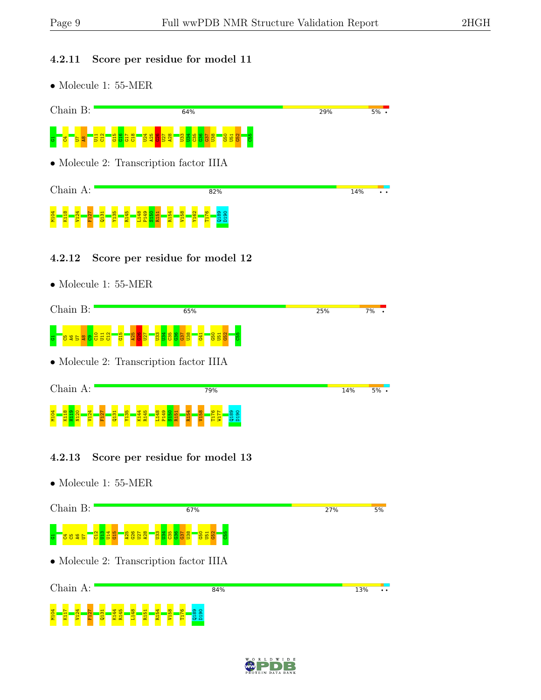#### 4.2.11 Score per residue for model 11



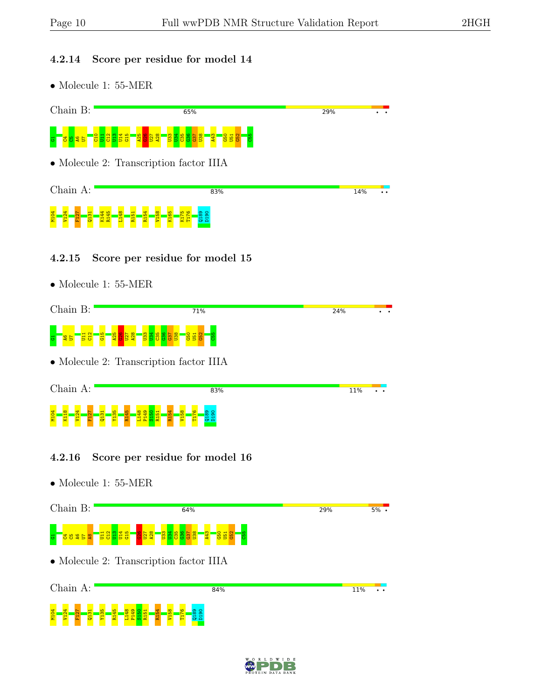<u> 중 - 중 - 윤 - 중</u><br>중 - 중 - 윤 - 중 -

Y135 R145 L148 P149  $\frac{150}{1}$ R151 R154 V158 T176  $\frac{189}{2}$ D190

#### 4.2.14 Score per residue for model 14

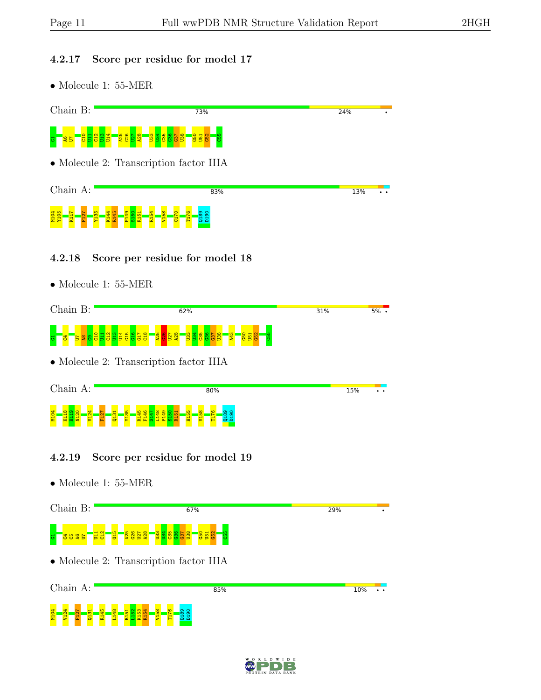#### 4.2.17 Score per residue for model 17

• Molecule 1: 55-MER



4.2.19 Score per residue for model 19



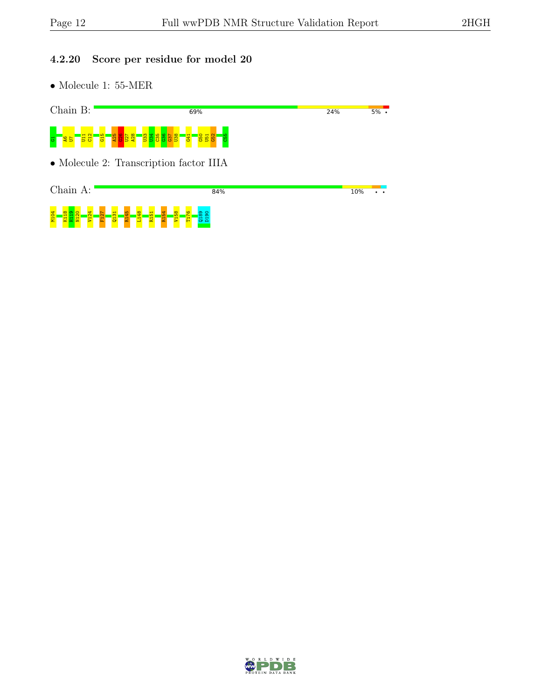### 4.2.20 Score per residue for model 20

 $\bullet$  Molecule 1: 55-MER



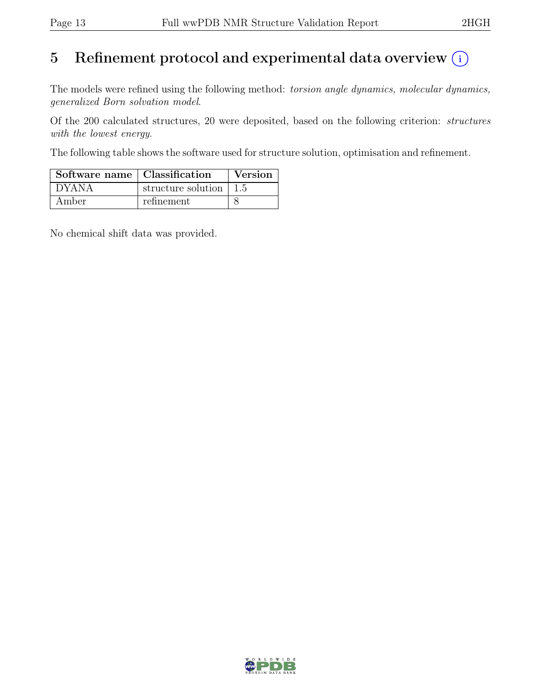# 5 Refinement protocol and experimental data overview  $\odot$

The models were refined using the following method: torsion angle dynamics, molecular dynamics, generalized Born solvation model.

Of the 200 calculated structures, 20 were deposited, based on the following criterion: structures with the lowest energy.

The following table shows the software used for structure solution, optimisation and refinement.

| Software name   Classification |                                        | <b>Version</b> |
|--------------------------------|----------------------------------------|----------------|
| DYANA                          | structure solution $\vert 1.5 \rangle$ |                |
| Amber                          | refinement                             |                |

No chemical shift data was provided.

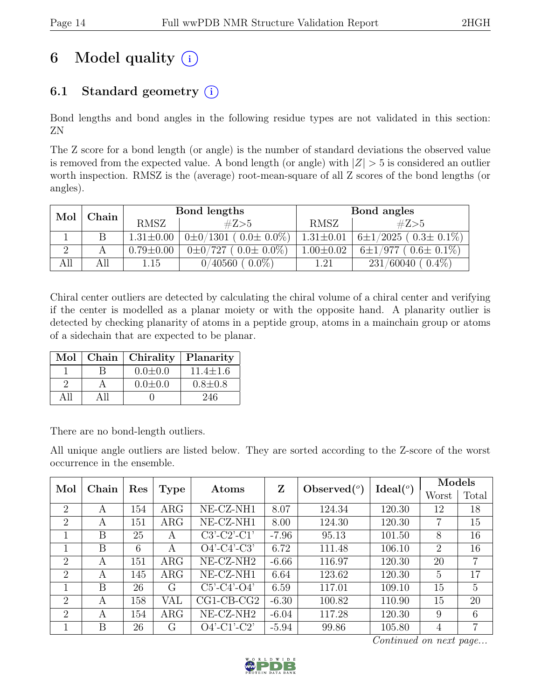# 6 Model quality  $(i)$

## 6.1 Standard geometry  $(i)$

Bond lengths and bond angles in the following residue types are not validated in this section: ZN

The Z score for a bond length (or angle) is the number of standard deviations the observed value is removed from the expected value. A bond length (or angle) with  $|Z| > 5$  is considered an outlier worth inspection. RMSZ is the (average) root-mean-square of all Z scores of the bond lengths (or angles).

| Mol<br>Chain |     |                 | Bond lengths                       | Bond angles     |                                |  |
|--------------|-----|-----------------|------------------------------------|-----------------|--------------------------------|--|
|              |     | <b>RMSZ</b>     | #Z>5                               | RMSZ            | #Z>5                           |  |
|              |     | $1.31 \pm 0.00$ | $0\pm 0/1301$ ( $0.0\pm 0.0\%$ )   | $1.31 \pm 0.01$ | $6\pm1/2025$ ( $0.3\pm0.1\%$ ) |  |
| - 2          |     | $0.79 \pm 0.00$ | $0 \pm 0/727$<br>$(0.0 \pm 0.0\%)$ | $1.00 \pm 0.02$ | $0.6\pm 0.1\%)$<br>$6\pm1/977$ |  |
|              | All | 1.15            | $0.0\%$<br>0/40560                 | 1.21            | $0.4\%$<br>231/60040           |  |

Chiral center outliers are detected by calculating the chiral volume of a chiral center and verifying if the center is modelled as a planar moiety or with the opposite hand. A planarity outlier is detected by checking planarity of atoms in a peptide group, atoms in a mainchain group or atoms of a sidechain that are expected to be planar.

| Mol | Chain | Chirality     | Planarity      |
|-----|-------|---------------|----------------|
|     |       | $0.0 \pm 0.0$ | $11.4 \pm 1.6$ |
|     |       | $0.0 \pm 0.0$ | $0.8 \pm 0.8$  |
| ΑH  | 4 11  |               | 246            |

There are no bond-length outliers.

All unique angle outliers are listed below. They are sorted according to the Z-score of the worst occurrence in the ensemble.

| Mol            | Chain | Res |             | Atoms                 | Z       | Observed $(°)$ | Ideal $(°)$ | Models         |                |
|----------------|-------|-----|-------------|-----------------------|---------|----------------|-------------|----------------|----------------|
|                |       |     | <b>Type</b> |                       |         |                |             | Worst          | Total          |
| $\overline{2}$ | A     | 154 | $\rm{ARG}$  | NE-CZ-NH1             | 8.07    | 124.34         | 120.30      | 12             | 18             |
| $\overline{2}$ | A     | 151 | $\rm{ARG}$  | NE-CZ-NH1             | 8.00    | 124.30         | 120.30      | 7              | 15             |
|                | B     | 25  | А           | $C3'-C2'-C1'$         | $-7.96$ | 95.13          | 101.50      | 8              | 16             |
|                | B     | 6   | A           | $O4'$ -C4'-C3'        | 6.72    | 111.48         | 106.10      | $\overline{2}$ | 16             |
| $\overline{2}$ | A     | 151 | $\rm{ARG}$  | NE-CZ-NH <sub>2</sub> | $-6.66$ | 116.97         | 120.30      | 20             | 7              |
| $\overline{2}$ | A     | 145 | $\rm{ARG}$  | NE-CZ-NH1             | 6.64    | 123.62         | 120.30      | 5              | 17             |
|                | B     | 26  | G           | $C5'-C4'-O4'$         | 6.59    | 117.01         | 109.10      | 15             | $\overline{5}$ |
| 2              | A     | 158 | VAL         | $CG1-CB-CG2$          | $-6.30$ | 100.82         | 110.90      | 15             | 20             |
| 2              | A     | 154 | ARG         | NE-CZ-NH <sub>2</sub> | $-6.04$ | 117.28         | 120.30      | 9              | 6              |
|                | Β     | 26  | G           | $O4'$ -C1'-C2'        | $-5.94$ | 99.86          | 105.80      | 4              | 7              |

Continued on next page...

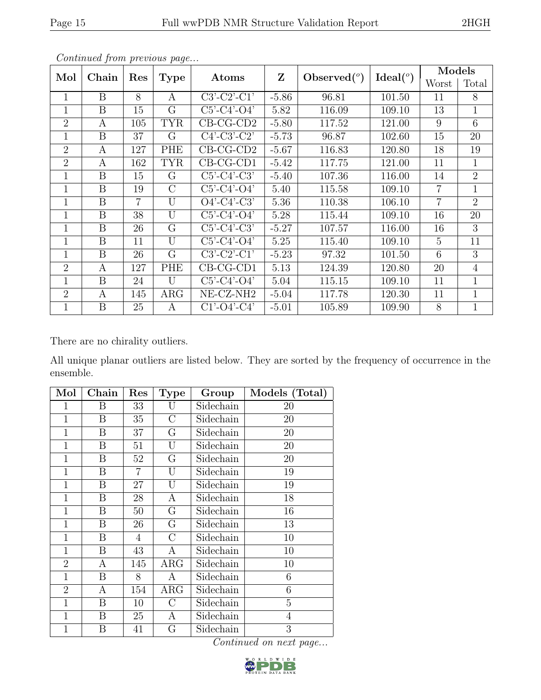|                | $\sim$ onlinearly from previous page |                |                |                       |              |                |                  |                 | Models         |  |
|----------------|--------------------------------------|----------------|----------------|-----------------------|--------------|----------------|------------------|-----------------|----------------|--|
| Mol            | Chain                                | Res            | <b>Type</b>    | Atoms                 | $\mathbf{Z}$ | Observed $(°)$ | Ideal $(^\circ)$ | Worst           | Total          |  |
| $\mathbf{1}$   | B                                    | 8              | A              | $C3'-C2'-C1'$         | $-5.86$      | 96.81          | 101.50           | 11              | 8              |  |
| $\mathbf{1}$   | B                                    | 15             | G              | $C5'-C4'-O4'$         | 5.82         | 116.09         | 109.10           | 13              | $\mathbf 1$    |  |
| $\overline{2}$ | A                                    | 105            | <b>TYR</b>     | $CB-CG-CD2$           | $-5.80$      | 117.52         | 121.00           | 9               | 6              |  |
| 1              | B                                    | 37             | G              | $C4'-C3'-C2'$         | $-5.73$      | 96.87          | 102.60           | 15              | 20             |  |
| $\overline{2}$ | A                                    | 127            | PHE            | $CB-CG-CD2$           | $-5.67$      | 116.83         | 120.80           | 18              | 19             |  |
| $\overline{2}$ | A                                    | 162            | <b>TYR</b>     | $CB-CG-CD1$           | $-5.42$      | 117.75         | 121.00           | 11              | $\mathbf{1}$   |  |
| $\mathbf{1}$   | B                                    | 15             | G              | $C5'-C4'-C3'$         | $-5.40$      | 107.36         | 116.00           | 14              | $\overline{2}$ |  |
| $\mathbf{1}$   | B                                    | 19             | $\mathcal{C}$  | $C5'-C4'-O4'$         | 5.40         | 115.58         | 109.10           | $\overline{7}$  | 1              |  |
| $\mathbf{1}$   | B                                    | $\overline{7}$ | U              | $O4'$ -C4'-C3'        | 5.36         | 110.38         | 106.10           | $\overline{7}$  | $\overline{2}$ |  |
| $\mathbf{1}$   | B                                    | 38             | $\overline{U}$ | $C5'-C4'-O4'$         | 5.28         | 115.44         | 109.10           | 16              | 20             |  |
| $\mathbf{1}$   | B                                    | 26             | G              | $C5'-C4'-C3'$         | $-5.27$      | 107.57         | 116.00           | 16              | 3              |  |
| $\mathbf{1}$   | B                                    | 11             | $\overline{U}$ | $C5'-C4'-O4'$         | 5.25         | 115.40         | 109.10           | $5\overline{)}$ | 11             |  |
| $\mathbf{1}$   | B                                    | 26             | G              | $C3'-C2'-C1'$         | $-5.23$      | 97.32          | 101.50           | 6               | 3              |  |
| $\overline{2}$ | A                                    | 127            | PHE            | $CB-CG-CD1$           | 5.13         | 124.39         | 120.80           | 20              | $\overline{4}$ |  |
| $\mathbf{1}$   | B                                    | 24             | $\overline{U}$ | $C5'-C4'-O4'$         | 5.04         | 115.15         | 109.10           | 11              | 1              |  |
| $\overline{2}$ | A                                    | 145            | $\rm{ARG}$     | NE-CZ-NH <sub>2</sub> | $-5.04$      | 117.78         | 120.30           | 11              | $\mathbf{1}$   |  |
| 1              | B                                    | 25             | А              | $C1'-O4'-C4'$         | $-5.01$      | 105.89         | 109.90           | 8               | 1              |  |

Continued from previous page.

There are no chirality outliers.

All unique planar outliers are listed below. They are sorted by the frequency of occurrence in the ensemble.

| Mol            | Chain | Res            | <b>Type</b>    | Group     | Models (Total) |
|----------------|-------|----------------|----------------|-----------|----------------|
| $\mathbf 1$    | Β     | 33             | U              | Sidechain | 20             |
| $\overline{1}$ | B     | 35             | $\overline{C}$ | Sidechain | 20             |
| $\mathbf{1}$   | B     | 37             | G              | Sidechain | 20             |
| $\mathbf{1}$   | B     | 51             | U              | Sidechain | $20\,$         |
| $\mathbf{1}$   | Β     | 52             | G              | Sidechain | 20             |
| $\mathbf{1}$   | B     | $\overline{7}$ | U              | Sidechain | 19             |
| $\mathbf{1}$   | B     | 27             | U              | Sidechain | 19             |
| $\overline{1}$ | B     | 28             | А              | Sidechain | 18             |
| $\mathbf{1}$   | B     | $50\,$         | G              | Sidechain | 16             |
| $\mathbf{1}$   | B     | 26             | G              | Sidechain | 13             |
| $\mathbf{1}$   | B     | $\overline{4}$ | $\rm C$        | Sidechain | 10             |
| $\mathbf{1}$   | B     | 43             | А              | Sidechain | 10             |
| $\overline{2}$ | Α     | 145            | $\rm{ARG}$     | Sidechain | 10             |
| $\mathbf{1}$   | B     | 8              | Α              | Sidechain | 6              |
| $\overline{2}$ | Α     | 154            | $\rm{ARG}$     | Sidechain | 6              |
| $\mathbf{1}$   | B     | 10             | $\overline{C}$ | Sidechain | 5              |
| $\mathbf{1}$   | B     | 25             | Α              | Sidechain | $\overline{4}$ |
| $\overline{1}$ | B     | 41             | G              | Sidechain | 3              |

Continued on next page...

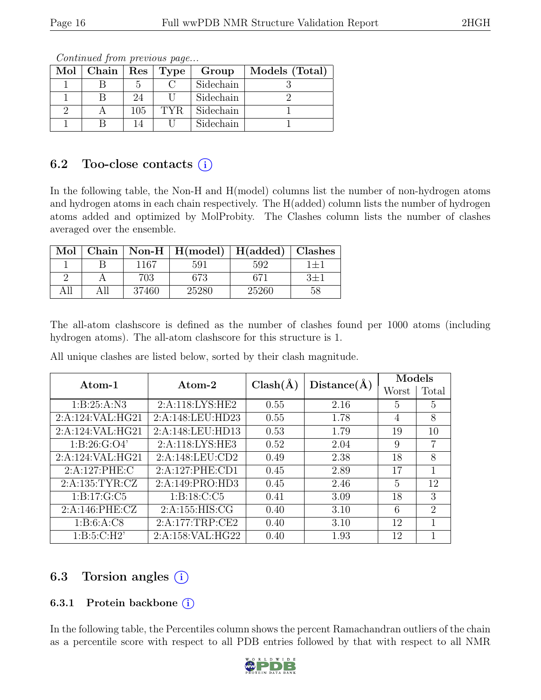| $Mol$   Chain |     | Res   Type | Group     | Models (Total) |  |  |
|---------------|-----|------------|-----------|----------------|--|--|
|               |     |            | Sidechain |                |  |  |
|               | 24  |            | Sidechain |                |  |  |
|               | 105 | TYR.       | Sidechain |                |  |  |
|               |     |            | Sidechain |                |  |  |

Continued from previous page...

## 6.2 Too-close contacts  $(i)$

In the following table, the Non-H and H(model) columns list the number of non-hydrogen atoms and hydrogen atoms in each chain respectively. The H(added) column lists the number of hydrogen atoms added and optimized by MolProbity. The Clashes column lists the number of clashes averaged over the ensemble.

| Mol  | Chain |       | $\mid$ Non-H $\mid$ H(model) | H(added) | Clashes |
|------|-------|-------|------------------------------|----------|---------|
|      |       | 1167  | 591                          | 592      |         |
|      |       | 703   | 373                          |          |         |
| וו ג |       | 37460 | 25280                        | 25260    |         |

The all-atom clashscore is defined as the number of clashes found per 1000 atoms (including hydrogen atoms). The all-atom clashscore for this structure is 1.

| Atom-1           | Atom-2           | $Clash(\AA)$ | Distance(A) | Models         |                             |
|------------------|------------------|--------------|-------------|----------------|-----------------------------|
|                  |                  |              |             | Worst          | Total                       |
| 1: B:25:A:N3     | 2:A:118:LYS:HE2  | 0.55         | 2.16        | $\overline{5}$ | 5                           |
| 2:A:124:VAL:HG21 | 2:A:148:LEU:HD23 | 0.55         | 1.78        | 4              | 8                           |
| 2:A:124:VAL:HG21 | 2:A:148:LEU:HD13 | 0.53         | 1.79        | 19             | 10                          |
| 1: B:26: G:O4'   | 2:A:118:LYS:HE3  | 0.52         | 2.04        | 9              | $\overline{7}$              |
| 2:A:124:VAL:HG21 | 2:A:148:LEU:CD2  | 0.49         | 2.38        | 18             | 8                           |
| 2:A:127:PHE:C    | 2:A:127:PHE:CD1  | 0.45         | 2.89        | 17             |                             |
| 2:A:135:TYR:CZ   | 2:A:149:PRO:HD3  | 0.45         | 2.46        | $\overline{5}$ | 12                          |
| 1: B: 17: G: C5  | 1: B: 18: C: C5  | 0.41         | 3.09        | 18             | 3                           |
| 2:A:146:PHE:CZ   | 2:A:155:HIS:CG   | 0.40         | 3.10        | 6              | $\mathcal{D}_{\mathcal{L}}$ |
| 1: B:6:A:CS      | 2:A:177:TRP:CE2  | 0.40         | 3.10        | 12             |                             |
| 1: B:5: C:H2'    | 2:A:158:VAL:HG22 | 0.40         | 1.93        | 12             |                             |

All unique clashes are listed below, sorted by their clash magnitude.

## 6.3 Torsion angles  $(i)$

### 6.3.1 Protein backbone  $(i)$

In the following table, the Percentiles column shows the percent Ramachandran outliers of the chain as a percentile score with respect to all PDB entries followed by that with respect to all NMR

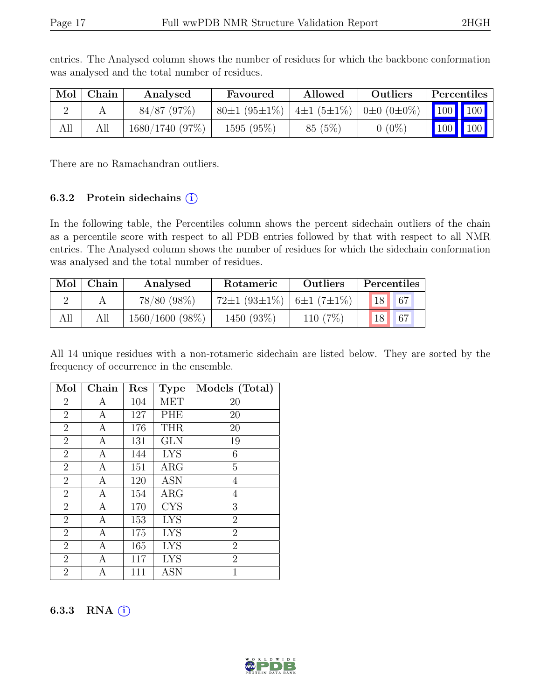|     | $Mol$   Chain | Analysed       | Favoured                   | Allowed                                  | Outliers | Percentiles |     |
|-----|---------------|----------------|----------------------------|------------------------------------------|----------|-------------|-----|
|     |               | $84/87$ (97\%) | $80 \pm 1$ (95 $\pm 1\%$ ) | $ 4\pm1(5\pm1\%) 0\pm0(0\pm0\%) 100 100$ |          |             |     |
| All |               | 1680/1740(97%) | 1595 (95\%)                | 85(5%)                                   | $0(0\%)$ | 100         | 100 |

entries. The Analysed column shows the number of residues for which the backbone conformation was analysed and the total number of residues.

There are no Ramachandran outliers.

#### 6.3.2 Protein sidechains (i)

In the following table, the Percentiles column shows the percent sidechain outliers of the chain as a percentile score with respect to all PDB entries followed by that with respect to all NMR entries. The Analysed column shows the number of residues for which the sidechain conformation was analysed and the total number of residues.

| Mol | Chain | Analysed       | Rotameric                                        | <b>Outliers</b> |                 | Percentiles |
|-----|-------|----------------|--------------------------------------------------|-----------------|-----------------|-------------|
|     |       | $78/80 (98\%)$ | $72\pm1$ (93 $\pm1\%$ )   6 $\pm1$ (7 $\pm1\%$ ) |                 | 18 <sup>1</sup> | 67          |
| All |       | 1560/1600(98%) | 1450 (93%)                                       | 110 $(7%)$      |                 | 67          |

All 14 unique residues with a non-rotameric sidechain are listed below. They are sorted by the frequency of occurrence in the ensemble.

| Mol            | Chain | Res | <b>Type</b> | Models (Total) |
|----------------|-------|-----|-------------|----------------|
| $\overline{2}$ | А     | 104 | <b>MET</b>  | 20             |
| $\overline{2}$ | А     | 127 | PHE         | 20             |
| $\overline{2}$ | А     | 176 | <b>THR</b>  | 20             |
| $\overline{2}$ | А     | 131 | <b>GLN</b>  | 19             |
| $\overline{2}$ | А     | 144 | <b>LYS</b>  | 6              |
| $\overline{2}$ | А     | 151 | $\rm{ARG}$  | $\overline{5}$ |
| $\overline{2}$ | Α     | 120 | ASN         | 4              |
| $\overline{2}$ | A     | 154 | $\rm{ARG}$  | 4              |
| $\overline{2}$ | Α     | 170 | <b>CYS</b>  | 3              |
| $\overline{2}$ | А     | 153 | <b>LYS</b>  | $\overline{2}$ |
| $\overline{2}$ | А     | 175 | <b>LYS</b>  | $\overline{2}$ |
| $\overline{2}$ | А     | 165 | <b>LYS</b>  | $\overline{2}$ |
| $\overline{2}$ | А     | 117 | <b>LYS</b>  | $\overline{2}$ |
| $\overline{2}$ | А     | 111 | ASN         | 1              |

6.3.3 RNA  $(i)$ 

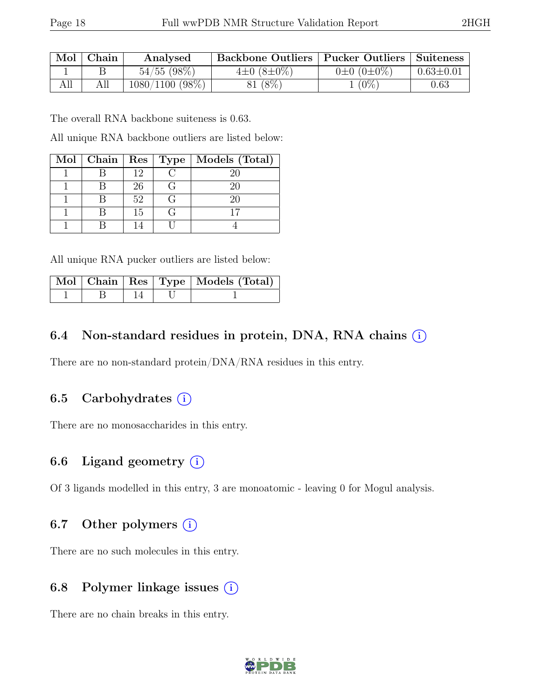|     | Mol   Chain | Analysed          | Backbone Outliers   Pucker Outliers   Suiteness |                       |                 |
|-----|-------------|-------------------|-------------------------------------------------|-----------------------|-----------------|
|     |             | $54/55$ (98\%)    | $4\pm0.8\pm0\%$                                 | $0\pm 0$ $(0\pm 0\%)$ | $0.63 \pm 0.01$ |
| All | All         | $1080/1100$ (98%) | 81 (8%)                                         | $1(0\%)$              | 0.63            |

The overall RNA backbone suiteness is 0.63.

All unique RNA backbone outliers are listed below:

|  |    |     | Mol   Chain   Res   Type   Models (Total) |
|--|----|-----|-------------------------------------------|
|  | 19 |     | 20                                        |
|  | 26 | ( Հ | ソロ                                        |
|  | 52 | ( ⊹ | 20                                        |
|  | 15 |     |                                           |
|  |    |     |                                           |

All unique RNA pucker outliers are listed below:

|  |  | Mol   Chain   Res   Type   Models (Total) |
|--|--|-------------------------------------------|
|  |  |                                           |

### 6.4 Non-standard residues in protein, DNA, RNA chains (i)

There are no non-standard protein/DNA/RNA residues in this entry.

### 6.5 Carbohydrates  $(i)$

There are no monosaccharides in this entry.

### 6.6 Ligand geometry  $(i)$

Of 3 ligands modelled in this entry, 3 are monoatomic - leaving 0 for Mogul analysis.

### 6.7 Other polymers  $(i)$

There are no such molecules in this entry.

### 6.8 Polymer linkage issues  $(i)$

There are no chain breaks in this entry.